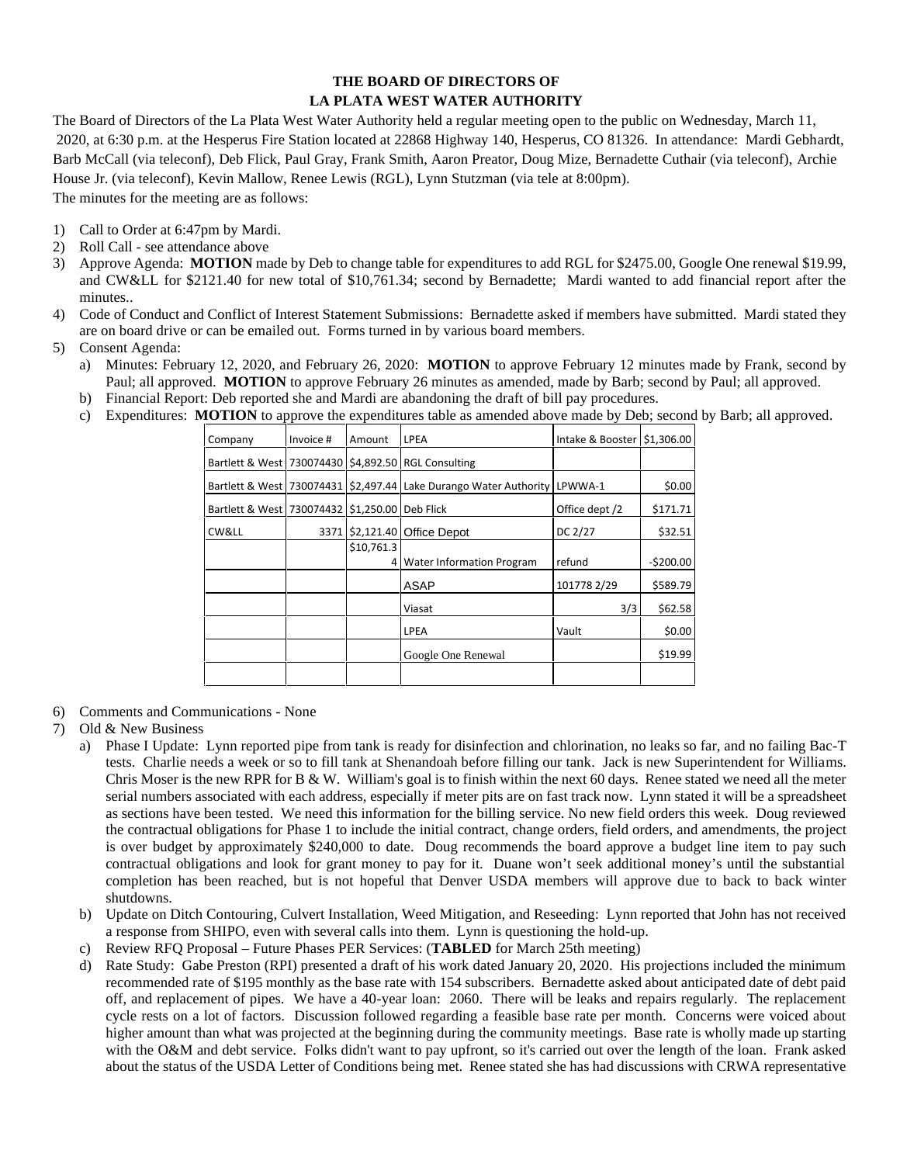## **THE BOARD OF DIRECTORS OF LA PLATA WEST WATER AUTHORITY**

The Board of Directors of the La Plata West Water Authority held a regular meeting open to the public on Wednesday, March 11, 2020, at 6:30 p.m. at the Hesperus Fire Station located at 22868 Highway 140, Hesperus, CO 81326. In attendance: Mardi Gebhardt, Barb McCall (via teleconf), Deb Flick, Paul Gray, Frank Smith, Aaron Preator, Doug Mize, Bernadette Cuthair (via teleconf), Archie House Jr. (via teleconf), Kevin Mallow, Renee Lewis (RGL), Lynn Stutzman (via tele at 8:00pm). The minutes for the meeting are as follows:

- 1) Call to Order at 6:47pm by Mardi.
- 2) Roll Call see attendance above
- 3) Approve Agenda: **MOTION** made by Deb to change table for expenditures to add RGL for \$2475.00, Google One renewal \$19.99, and CW&LL for \$2121.40 for new total of \$10,761.34; second by Bernadette; Mardi wanted to add financial report after the minutes..
- 4) Code of Conduct and Conflict of Interest Statement Submissions: Bernadette asked if members have submitted. Mardi stated they are on board drive or can be emailed out. Forms turned in by various board members.
- 5) Consent Agenda:
	- a) Minutes: February 12, 2020, and February 26, 2020: **MOTION** to approve February 12 minutes made by Frank, second by Paul; all approved. **MOTION** to approve February 26 minutes as amended, made by Barb; second by Paul; all approved.
	- b) Financial Report: Deb reported she and Mardi are abandoning the draft of bill pay procedures.
	- c) Expenditures: **MOTION** to approve the expenditures table as amended above made by Deb; second by Barb; all approved.

| Company                     | Invoice # | Amount               | LPEA                                                      | Intake & Booster 51,306.00 |            |
|-----------------------------|-----------|----------------------|-----------------------------------------------------------|----------------------------|------------|
|                             |           |                      | Bartlett & West   730074430   \$4,892.50   RGL Consulting |                            |            |
| Bartlett & West   730074431 |           |                      | \$2,497.44 Lake Durango Water Authority LPWWA-1           |                            | \$0.00     |
| Bartlett & West   730074432 |           | \$1,250.00 Deb Flick |                                                           | Office dept /2             | \$171.71   |
| CW&LL                       | 3371      |                      | $$2,121.40$ Office Depot                                  | DC 2/27                    | \$32.51    |
|                             |           | \$10,761.3           | 4 Water Information Program                               | refund                     | $-5200.00$ |
|                             |           |                      | <b>ASAP</b>                                               | 101778 2/29                | \$589.79   |
|                             |           |                      | Viasat                                                    | 3/3                        | \$62.58    |
|                             |           |                      | LPEA                                                      | Vault                      | \$0.00     |
|                             |           |                      | Google One Renewal                                        |                            | \$19.99    |
|                             |           |                      |                                                           |                            |            |

- 6) Comments and Communications None
- 7) Old & New Business
	- a) Phase I Update: Lynn reported pipe from tank is ready for disinfection and chlorination, no leaks so far, and no failing Bac-T tests. Charlie needs a week or so to fill tank at Shenandoah before filling our tank. Jack is new Superintendent for Williams. Chris Moser is the new RPR for  $B \& W$ . William's goal is to finish within the next 60 days. Renee stated we need all the meter serial numbers associated with each address, especially if meter pits are on fast track now. Lynn stated it will be a spreadsheet as sections have been tested. We need this information for the billing service. No new field orders this week. Doug reviewed the contractual obligations for Phase 1 to include the initial contract, change orders, field orders, and amendments, the project is over budget by approximately \$240,000 to date. Doug recommends the board approve a budget line item to pay such contractual obligations and look for grant money to pay for it. Duane won't seek additional money's until the substantial completion has been reached, but is not hopeful that Denver USDA members will approve due to back to back winter shutdowns.
	- b) Update on Ditch Contouring, Culvert Installation, Weed Mitigation, and Reseeding: Lynn reported that John has not received a response from SHIPO, even with several calls into them. Lynn is questioning the hold-up.
	- c) Review RFQ Proposal Future Phases PER Services: (**TABLED** for March 25th meeting)
	- d) Rate Study: Gabe Preston (RPI) presented a draft of his work dated January 20, 2020. His projections included the minimum recommended rate of \$195 monthly as the base rate with 154 subscribers. Bernadette asked about anticipated date of debt paid off, and replacement of pipes. We have a 40-year loan: 2060. There will be leaks and repairs regularly. The replacement cycle rests on a lot of factors. Discussion followed regarding a feasible base rate per month. Concerns were voiced about higher amount than what was projected at the beginning during the community meetings. Base rate is wholly made up starting with the O&M and debt service. Folks didn't want to pay upfront, so it's carried out over the length of the loan. Frank asked about the status of the USDA Letter of Conditions being met. Renee stated she has had discussions with CRWA representative